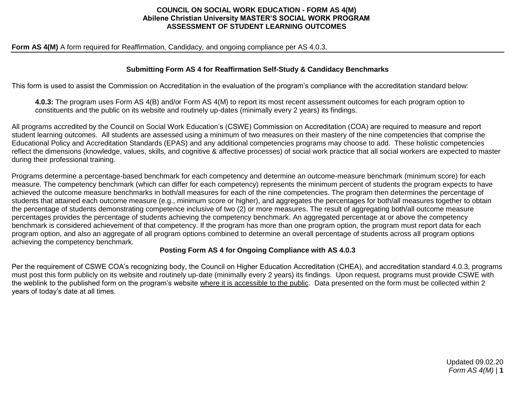### **COUNCIL ON SOCIAL WORK EDUCATION - FORM AS 4(M) Abilene Christian University MASTER'S SOCIAL WORK PROGRAM ASSESSMENT OF STUDENT LEARNING OUTCOMES**

#### Form AS 4(M) A form required for Reaffirmation, Candidacy, and ongoing compliance per AS 4.0.3.

### **Submitting Form AS 4 for Reaffirmation Self-Study & Candidacy Benchmarks**

This form is used to assist the Commission on Accreditation in the evaluation of the program's compliance with the accreditation standard below:

**4.0.3:** The program uses Form AS 4(B) and/or Form AS 4(M) to report its most recent assessment outcomes for each program option to constituents and the public on its website and routinely up-dates (minimally every 2 years) its findings.

All programs accredited by the Council on Social Work Education's (CSWE) Commission on Accreditation (COA) are required to measure and report student learning outcomes. All students are assessed using a minimum of two measures on their mastery of the nine competencies that comprise the Educational Policy and Accreditation Standards (EPAS) and any additional competencies programs may choose to add. These holistic competencies reflect the dimensions (knowledge, values, skills, and cognitive & affective processes) of social work practice that all social workers are expected to master during their professional training.

Programs determine a percentage-based benchmark for each competency and determine an outcome-measure benchmark (minimum score) for each measure. The competency benchmark (which can differ for each competency) represents the minimum percent of students the program expects to have achieved the outcome measure benchmarks in both/all measures for each of the nine competencies. The program then determines the percentage of students that attained each outcome measure (e.g., minimum score or higher), and aggregates the percentages for both/all measures together to obtain the percentage of students demonstrating competence inclusive of two (2) or more measures. The result of aggregating both/all outcome measure percentages provides the percentage of students achieving the competency benchmark. An aggregated percentage at or above the competency benchmark is considered achievement of that competency. If the program has more than one program option, the program must report data for each program option, and also an aggregate of all program options combined to determine an overall percentage of students across all program options achieving the competency benchmark.

## **Posting Form AS 4 for Ongoing Compliance with AS 4.0.3**

Per the requirement of CSWE COA's recognizing body, the Council on Higher Education Accreditation (CHEA), and accreditation standard 4.0.3, programs must post this form publicly on its website and routinely up-date (minimally every 2 years) its findings. Upon request, programs must provide CSWE with the weblink to the published form on the program's website where it is accessible to the public. Data presented on the form must be collected within 2 years of today's date at all times.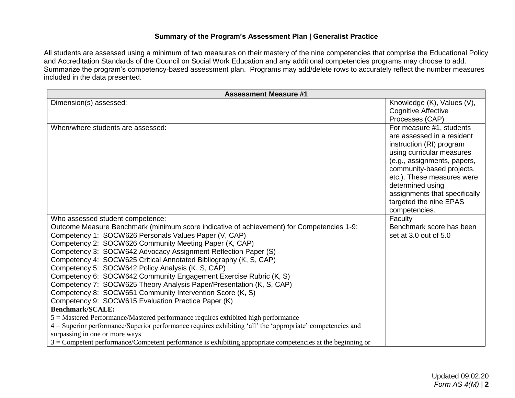# **Summary of the Program's Assessment Plan | Generalist Practice**

All students are assessed using a minimum of two measures on their mastery of the nine competencies that comprise the Educational Policy and Accreditation Standards of the Council on Social Work Education and any additional competencies programs may choose to add. Summarize the program's competency-based assessment plan. Programs may add/delete rows to accurately reflect the number measures included in the data presented.

| <b>Assessment Measure #1</b>                                                                                                              |                               |
|-------------------------------------------------------------------------------------------------------------------------------------------|-------------------------------|
| Dimension(s) assessed:                                                                                                                    | Knowledge (K), Values (V),    |
|                                                                                                                                           | <b>Cognitive Affective</b>    |
|                                                                                                                                           | Processes (CAP)               |
| When/where students are assessed:                                                                                                         | For measure #1, students      |
|                                                                                                                                           | are assessed in a resident    |
|                                                                                                                                           | instruction (RI) program      |
|                                                                                                                                           | using curricular measures     |
|                                                                                                                                           | (e.g., assignments, papers,   |
|                                                                                                                                           | community-based projects,     |
|                                                                                                                                           | etc.). These measures were    |
|                                                                                                                                           | determined using              |
|                                                                                                                                           | assignments that specifically |
|                                                                                                                                           | targeted the nine EPAS        |
|                                                                                                                                           | competencies.                 |
| Who assessed student competence:                                                                                                          | Faculty                       |
| Outcome Measure Benchmark (minimum score indicative of achievement) for Competencies 1-9:                                                 | Benchmark score has been      |
| Competency 1: SOCW626 Personals Values Paper (V, CAP)                                                                                     | set at 3.0 out of 5.0         |
| Competency 2: SOCW626 Community Meeting Paper (K, CAP)                                                                                    |                               |
| Competency 3: SOCW642 Advocacy Assignment Reflection Paper (S)                                                                            |                               |
| Competency 4: SOCW625 Critical Annotated Bibliography (K, S, CAP)                                                                         |                               |
| Competency 5: SOCW642 Policy Analysis (K, S, CAP)                                                                                         |                               |
| Competency 6: SOCW642 Community Engagement Exercise Rubric (K, S)<br>Competency 7: SOCW625 Theory Analysis Paper/Presentation (K, S, CAP) |                               |
| Competency 8: SOCW651 Community Intervention Score (K, S)                                                                                 |                               |
| Competency 9: SOCW615 Evaluation Practice Paper (K)                                                                                       |                               |
| <b>Benchmark/SCALE:</b>                                                                                                                   |                               |
| 5 = Mastered Performance/Mastered performance requires exhibited high performance                                                         |                               |
| 4 = Superior performance/Superior performance requires exhibiting 'all' the 'appropriate' competencies and                                |                               |
| surpassing in one or more ways                                                                                                            |                               |
| $3 =$ Competent performance/Competent performance is exhibiting appropriate competencies at the beginning or                              |                               |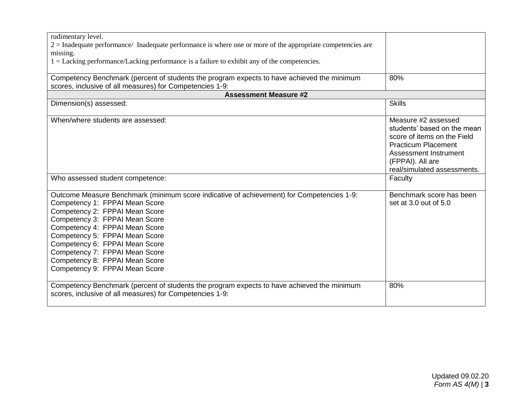| rudimentary level.                                                                                                                                                                                                                                                                                                                                                                                          |                                                                                                                                                                                             |
|-------------------------------------------------------------------------------------------------------------------------------------------------------------------------------------------------------------------------------------------------------------------------------------------------------------------------------------------------------------------------------------------------------------|---------------------------------------------------------------------------------------------------------------------------------------------------------------------------------------------|
| $2 =$ Inadequate performance/ Inadequate performance is where one or more of the appropriate competencies are                                                                                                                                                                                                                                                                                               |                                                                                                                                                                                             |
| missing.                                                                                                                                                                                                                                                                                                                                                                                                    |                                                                                                                                                                                             |
| $1 =$ Lacking performance/Lacking performance is a failure to exhibit any of the competencies.                                                                                                                                                                                                                                                                                                              |                                                                                                                                                                                             |
|                                                                                                                                                                                                                                                                                                                                                                                                             |                                                                                                                                                                                             |
| Competency Benchmark (percent of students the program expects to have achieved the minimum<br>scores, inclusive of all measures) for Competencies 1-9:                                                                                                                                                                                                                                                      | 80%                                                                                                                                                                                         |
| <b>Assessment Measure #2</b>                                                                                                                                                                                                                                                                                                                                                                                |                                                                                                                                                                                             |
| Dimension(s) assessed:                                                                                                                                                                                                                                                                                                                                                                                      | <b>Skills</b>                                                                                                                                                                               |
| When/where students are assessed:                                                                                                                                                                                                                                                                                                                                                                           | Measure #2 assessed<br>students' based on the mean<br>score of items on the Field<br><b>Practicum Placement</b><br>Assessment Instrument<br>(FPPAI). All are<br>real/simulated assessments. |
| Who assessed student competence:                                                                                                                                                                                                                                                                                                                                                                            | Faculty                                                                                                                                                                                     |
| Outcome Measure Benchmark (minimum score indicative of achievement) for Competencies 1-9:<br>Competency 1: FPPAI Mean Score<br>Competency 2: FPPAI Mean Score<br>Competency 3: FPPAI Mean Score<br>Competency 4: FPPAI Mean Score<br>Competency 5: FPPAI Mean Score<br>Competency 6: FPPAI Mean Score<br>Competency 7: FPPAI Mean Score<br>Competency 8: FPPAI Mean Score<br>Competency 9: FPPAI Mean Score | Benchmark score has been<br>set at 3.0 out of 5.0                                                                                                                                           |
| Competency Benchmark (percent of students the program expects to have achieved the minimum<br>scores, inclusive of all measures) for Competencies 1-9:                                                                                                                                                                                                                                                      | 80%                                                                                                                                                                                         |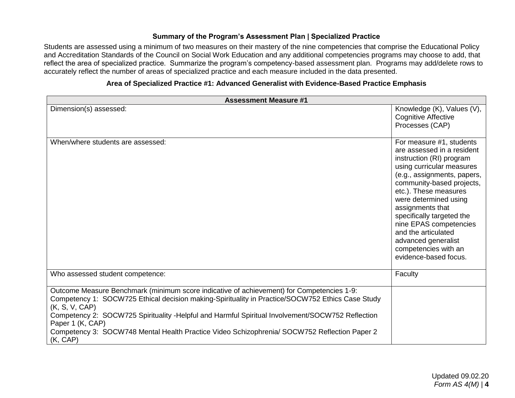# **Summary of the Program's Assessment Plan | Specialized Practice**

Students are assessed using a minimum of two measures on their mastery of the nine competencies that comprise the Educational Policy and Accreditation Standards of the Council on Social Work Education and any additional competencies programs may choose to add, that reflect the area of specialized practice. Summarize the program's competency-based assessment plan. Programs may add/delete rows to accurately reflect the number of areas of specialized practice and each measure included in the data presented.

# **Area of Specialized Practice #1: Advanced Generalist with Evidence-Based Practice Emphasis**

| <b>Assessment Measure #1</b>                                                                                                                                                                                                                                                                                                                                                                                                                        |                                                                                                                                                                                                                                                                                                                                                                                                         |
|-----------------------------------------------------------------------------------------------------------------------------------------------------------------------------------------------------------------------------------------------------------------------------------------------------------------------------------------------------------------------------------------------------------------------------------------------------|---------------------------------------------------------------------------------------------------------------------------------------------------------------------------------------------------------------------------------------------------------------------------------------------------------------------------------------------------------------------------------------------------------|
| Dimension(s) assessed:                                                                                                                                                                                                                                                                                                                                                                                                                              | Knowledge (K), Values (V),<br><b>Cognitive Affective</b><br>Processes (CAP)                                                                                                                                                                                                                                                                                                                             |
| When/where students are assessed:                                                                                                                                                                                                                                                                                                                                                                                                                   | For measure #1, students<br>are assessed in a resident<br>instruction (RI) program<br>using curricular measures<br>(e.g., assignments, papers,<br>community-based projects,<br>etc.). These measures<br>were determined using<br>assignments that<br>specifically targeted the<br>nine EPAS competencies<br>and the articulated<br>advanced generalist<br>competencies with an<br>evidence-based focus. |
| Who assessed student competence:                                                                                                                                                                                                                                                                                                                                                                                                                    | Faculty                                                                                                                                                                                                                                                                                                                                                                                                 |
| Outcome Measure Benchmark (minimum score indicative of achievement) for Competencies 1-9:<br>Competency 1: SOCW725 Ethical decision making-Spirituality in Practice/SOCW752 Ethics Case Study<br>(K, S, V, CAP)<br>Competency 2: SOCW725 Spirituality -Helpful and Harmful Spiritual Involvement/SOCW752 Reflection<br>Paper 1 (K, CAP)<br>Competency 3: SOCW748 Mental Health Practice Video Schizophrenia/ SOCW752 Reflection Paper 2<br>(K, CAP) |                                                                                                                                                                                                                                                                                                                                                                                                         |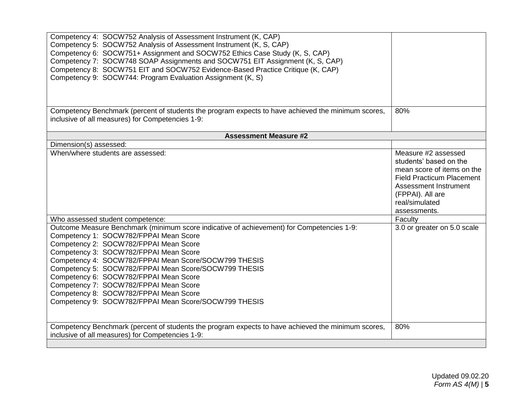| Competency 4: SOCW752 Analysis of Assessment Instrument (K, CAP)<br>Competency 5: SOCW752 Analysis of Assessment Instrument (K, S, CAP)<br>Competency 6: SOCW751+ Assignment and SOCW752 Ethics Case Study (K, S, CAP)<br>Competency 7: SOCW748 SOAP Assignments and SOCW751 EIT Assignment (K, S, CAP)<br>Competency 8: SOCW751 EIT and SOCW752 Evidence-Based Practice Critique (K, CAP)<br>Competency 9: SOCW744: Program Evaluation Assignment (K, S)                                                                        |                                                                                                                                                                                                |
|----------------------------------------------------------------------------------------------------------------------------------------------------------------------------------------------------------------------------------------------------------------------------------------------------------------------------------------------------------------------------------------------------------------------------------------------------------------------------------------------------------------------------------|------------------------------------------------------------------------------------------------------------------------------------------------------------------------------------------------|
| Competency Benchmark (percent of students the program expects to have achieved the minimum scores,<br>inclusive of all measures) for Competencies 1-9:                                                                                                                                                                                                                                                                                                                                                                           | 80%                                                                                                                                                                                            |
| <b>Assessment Measure #2</b>                                                                                                                                                                                                                                                                                                                                                                                                                                                                                                     |                                                                                                                                                                                                |
| Dimension(s) assessed:                                                                                                                                                                                                                                                                                                                                                                                                                                                                                                           |                                                                                                                                                                                                |
| When/where students are assessed:                                                                                                                                                                                                                                                                                                                                                                                                                                                                                                | Measure #2 assessed<br>students' based on the<br>mean score of items on the<br><b>Field Practicum Placement</b><br>Assessment Instrument<br>(FPPAI). All are<br>real/simulated<br>assessments. |
| Who assessed student competence:                                                                                                                                                                                                                                                                                                                                                                                                                                                                                                 | Faculty                                                                                                                                                                                        |
| Outcome Measure Benchmark (minimum score indicative of achievement) for Competencies 1-9:<br>Competency 1: SOCW782/FPPAI Mean Score<br>Competency 2: SOCW782/FPPAI Mean Score<br>Competency 3: SOCW782/FPPAI Mean Score<br>Competency 4: SOCW782/FPPAI Mean Score/SOCW799 THESIS<br>Competency 5: SOCW782/FPPAI Mean Score/SOCW799 THESIS<br>Competency 6: SOCW782/FPPAI Mean Score<br>Competency 7: SOCW782/FPPAI Mean Score<br>Competency 8: SOCW782/FPPAI Mean Score<br>Competency 9: SOCW782/FPPAI Mean Score/SOCW799 THESIS | 3.0 or greater on 5.0 scale                                                                                                                                                                    |
| Competency Benchmark (percent of students the program expects to have achieved the minimum scores,<br>inclusive of all measures) for Competencies 1-9:                                                                                                                                                                                                                                                                                                                                                                           | 80%                                                                                                                                                                                            |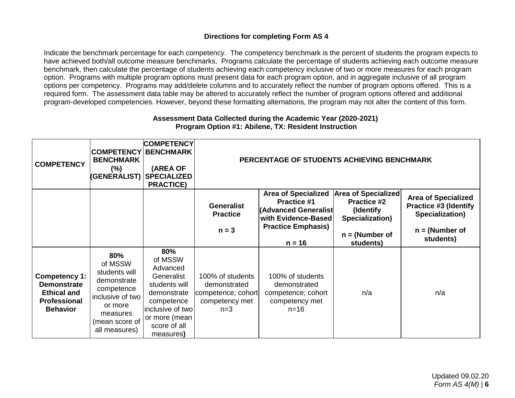# **Directions for completing Form AS 4**

Indicate the benchmark percentage for each competency. The competency benchmark is the percent of students the program expects to have achieved both/all outcome measure benchmarks. Programs calculate the percentage of students achieving each outcome measure benchmark, then calculate the percentage of students achieving each competency inclusive of two or more measures for each program option. Programs with multiple program options must present data for each program option, and in aggregate inclusive of all program options per competency. Programs may add/delete columns and to accurately reflect the number of program options offered. This is a required form. The assessment data table may be altered to accurately reflect the number of program options offered and additional program-developed competencies. However, beyond these formatting alternations, the program may not alter the content of this form.

## **Assessment Data Collected during the Academic Year (2020-2021) Program Option #1: Abilene, TX: Resident Instruction**

| <b>COMPETENCY</b>                                                                                   | <b>COMPETENCY</b><br><b>BENCHMARK</b><br>$(\% )$                                                                                           | <b>COMPETENCY</b><br><b>BENCHMARK</b><br>(AREA OF<br><b>(GENERALIST) SPECIALIZED</b><br><b>PRACTICE)</b>                                                  |                                                                                   | PERCENTAGE OF STUDENTS ACHIEVING BENCHMARK                                                                                                      |                                                                                                                    |                                                                                                                |
|-----------------------------------------------------------------------------------------------------|--------------------------------------------------------------------------------------------------------------------------------------------|-----------------------------------------------------------------------------------------------------------------------------------------------------------|-----------------------------------------------------------------------------------|-------------------------------------------------------------------------------------------------------------------------------------------------|--------------------------------------------------------------------------------------------------------------------|----------------------------------------------------------------------------------------------------------------|
|                                                                                                     |                                                                                                                                            |                                                                                                                                                           | <b>Generalist</b><br><b>Practice</b><br>$n = 3$                                   | <b>Area of Specialized</b><br><b>Practice #1</b><br><b>(Advanced Generalist</b><br>with Evidence-Based<br><b>Practice Emphasis)</b><br>$n = 16$ | <b>Area of Specialized</b><br><b>Practice #2</b><br>(Identify)<br>Specialization)<br>$n = (Number of$<br>students) | <b>Area of Specialized</b><br><b>Practice #3 (Identify</b><br>Specialization)<br>$n = (Number of$<br>students) |
| Competency 1:<br><b>Demonstrate</b><br><b>Ethical and</b><br><b>Professional</b><br><b>Behavior</b> | 80%<br>of MSSW<br>students will<br>demonstrate<br>competence<br>inclusive of two<br>or more<br>measures<br>(mean score of<br>all measures) | 80%<br>of MSSW<br>Advanced<br>Generalist<br>students will<br>demonstrate<br>competence<br>inclusive of two<br>or more (mean)<br>score of all<br>measures) | 100% of students<br>demonstrated<br>competence; cohort<br>competency met<br>$n=3$ | 100% of students<br>demonstrated<br>competence; cohort<br>competency met<br>$n = 16$                                                            | n/a                                                                                                                | n/a                                                                                                            |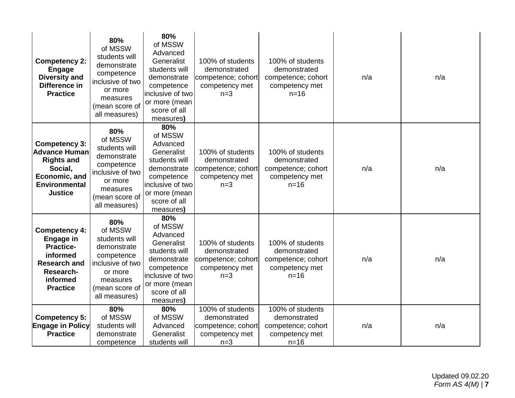| <b>Competency 2:</b><br><b>Engage</b><br><b>Diversity and</b><br>Difference in<br><b>Practice</b>                                           | 80%<br>of MSSW<br>students will<br>demonstrate<br>competence<br>inclusive of two<br>or more<br>measures<br>(mean score of<br>all measures) | 80%<br>of MSSW<br>Advanced<br>Generalist<br>students will<br>demonstrate<br>competence<br>inclusive of two<br>or more (mean<br>score of all<br>measures) | 100% of students<br>demonstrated<br>competence; cohort<br>competency met<br>$n=3$ | 100% of students<br>demonstrated<br>competence; cohort<br>competency met<br>$n = 16$ | n/a | n/a |
|---------------------------------------------------------------------------------------------------------------------------------------------|--------------------------------------------------------------------------------------------------------------------------------------------|----------------------------------------------------------------------------------------------------------------------------------------------------------|-----------------------------------------------------------------------------------|--------------------------------------------------------------------------------------|-----|-----|
| <b>Competency 3:</b><br><b>Advance Human</b><br><b>Rights and</b><br>Social,<br>Economic, and<br><b>Environmental</b><br><b>Justice</b>     | 80%<br>of MSSW<br>students will<br>demonstrate<br>competence<br>inclusive of two<br>or more<br>measures<br>(mean score of<br>all measures) | 80%<br>of MSSW<br>Advanced<br>Generalist<br>students will<br>demonstrate<br>competence<br>inclusive of two<br>or more (mean<br>score of all<br>measures) | 100% of students<br>demonstrated<br>competence; cohort<br>competency met<br>$n=3$ | 100% of students<br>demonstrated<br>competence; cohort<br>competency met<br>$n=16$   | n/a | n/a |
| <b>Competency 4:</b><br><b>Engage in</b><br><b>Practice-</b><br>informed<br><b>Research and</b><br>Research-<br>informed<br><b>Practice</b> | 80%<br>of MSSW<br>students will<br>demonstrate<br>competence<br>inclusive of two<br>or more<br>measures<br>(mean score of<br>all measures) | 80%<br>of MSSW<br>Advanced<br>Generalist<br>students will<br>demonstrate<br>competence<br>inclusive of two<br>or more (mean<br>score of all<br>measures) | 100% of students<br>demonstrated<br>competence; cohort<br>competency met<br>$n=3$ | 100% of students<br>demonstrated<br>competence; cohort<br>competency met<br>$n = 16$ | n/a | n/a |
| <b>Competency 5:</b><br><b>Engage in Policy</b><br><b>Practice</b>                                                                          | 80%<br>of MSSW<br>students will<br>demonstrate<br>competence                                                                               | 80%<br>of MSSW<br>Advanced<br>Generalist<br>students will                                                                                                | 100% of students<br>demonstrated<br>competence; cohort<br>competency met<br>$n=3$ | 100% of students<br>demonstrated<br>competence; cohort<br>competency met<br>$n=16$   | n/a | n/a |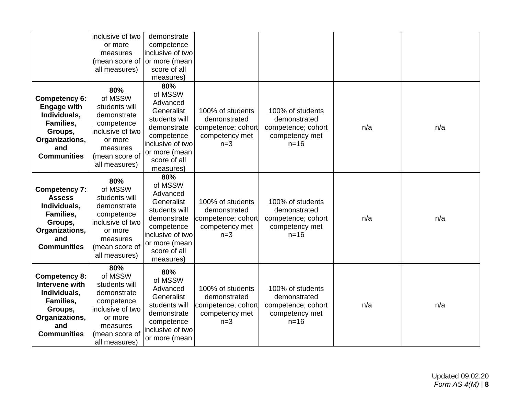|                                                                                                                               | inclusive of two<br>or more<br>measures<br>(mean score of<br>all measures)                                                                 | demonstrate<br>competence<br>inclusive of two<br>or more (mean<br>score of all<br>measures)                                                              |                                                                                   |                                                                                      |     |     |
|-------------------------------------------------------------------------------------------------------------------------------|--------------------------------------------------------------------------------------------------------------------------------------------|----------------------------------------------------------------------------------------------------------------------------------------------------------|-----------------------------------------------------------------------------------|--------------------------------------------------------------------------------------|-----|-----|
| Competency 6:<br><b>Engage with</b><br>Individuals,<br>Families,<br>Groups,<br>Organizations,<br>and<br><b>Communities</b>    | 80%<br>of MSSW<br>students will<br>demonstrate<br>competence<br>inclusive of two<br>or more<br>measures<br>(mean score of<br>all measures) | 80%<br>of MSSW<br>Advanced<br>Generalist<br>students will<br>demonstrate<br>competence<br>inclusive of two<br>or more (mean<br>score of all<br>measures) | 100% of students<br>demonstrated<br>competence; cohort<br>competency met<br>$n=3$ | 100% of students<br>demonstrated<br>competence; cohort<br>competency met<br>$n=16$   | n/a | n/a |
| <b>Competency 7:</b><br><b>Assess</b><br>Individuals,<br>Families,<br>Groups,<br>Organizations,<br>and<br><b>Communities</b>  | 80%<br>of MSSW<br>students will<br>demonstrate<br>competence<br>inclusive of two<br>or more<br>measures<br>(mean score of<br>all measures) | 80%<br>of MSSW<br>Advanced<br>Generalist<br>students will<br>demonstrate<br>competence<br>inclusive of two<br>or more (mean<br>score of all<br>measures) | 100% of students<br>demonstrated<br>competence; cohort<br>competency met<br>$n=3$ | 100% of students<br>demonstrated<br>competence; cohort<br>competency met<br>$n=16$   | n/a | n/a |
| <b>Competency 8:</b><br>Intervene with<br>Individuals,<br>Families,<br>Groups,<br>Organizations,<br>and<br><b>Communities</b> | 80%<br>of MSSW<br>students will<br>demonstrate<br>competence<br>inclusive of two<br>or more<br>measures<br>(mean score of<br>all measures) | 80%<br>of MSSW<br>Advanced<br>Generalist<br>students will<br>demonstrate<br>competence<br>inclusive of two<br>or more (mean                              | 100% of students<br>demonstrated<br>competence; cohort<br>competency met<br>$n=3$ | 100% of students<br>demonstrated<br>competence; cohort<br>competency met<br>$n = 16$ | n/a | n/a |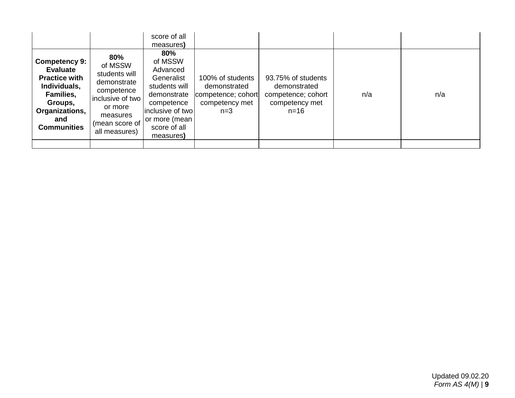|                                                                                                                                                        |                                                                                                                                            | score of all<br>measures)                                                                                                                                |                                                                                    |                                                                                        |     |     |
|--------------------------------------------------------------------------------------------------------------------------------------------------------|--------------------------------------------------------------------------------------------------------------------------------------------|----------------------------------------------------------------------------------------------------------------------------------------------------------|------------------------------------------------------------------------------------|----------------------------------------------------------------------------------------|-----|-----|
| <b>Competency 9:</b><br><b>Evaluate</b><br><b>Practice with</b><br>Individuals,<br>Families,<br>Groups,<br>Organizations,<br>and<br><b>Communities</b> | 80%<br>of MSSW<br>students will<br>demonstrate<br>competence<br>inclusive of two<br>or more<br>measures<br>(mean score of<br>all measures) | 80%<br>of MSSW<br>Advanced<br>Generalist<br>students will<br>demonstrate<br>competence<br>inclusive of two<br>or more (mean<br>score of all<br>measures) | 100% of students<br>demonstrated<br>competence; cohort <br>competency met<br>$n=3$ | 93.75% of students<br>demonstrated<br>competence; cohort<br>competency met<br>$n = 16$ | n/a | n/a |
|                                                                                                                                                        |                                                                                                                                            |                                                                                                                                                          |                                                                                    |                                                                                        |     |     |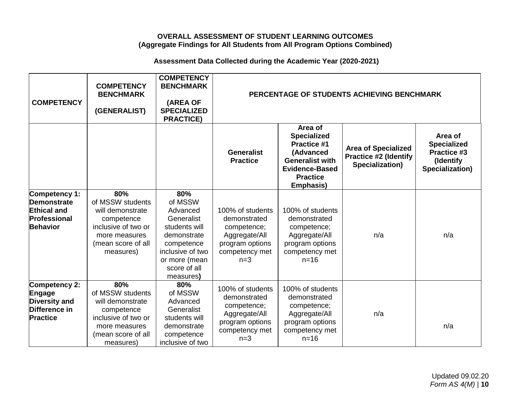## **OVERALL ASSESSMENT OF STUDENT LEARNING OUTCOMES (Aggregate Findings for All Students from All Program Options Combined)**

# **Assessment Data Collected during the Academic Year (2020-2021)**

| <b>COMPETENCY</b>                                                                            | <b>COMPETENCY</b><br><b>BENCHMARK</b><br>(GENERALIST)                                                                                | <b>COMPETENCY</b><br><b>BENCHMARK</b><br>(AREA OF<br><b>SPECIALIZED</b><br><b>PRACTICE)</b>                                                              |                                                                                                                |                                                                                                                                                            | PERCENTAGE OF STUDENTS ACHIEVING BENCHMARK                                    |                                                                                     |
|----------------------------------------------------------------------------------------------|--------------------------------------------------------------------------------------------------------------------------------------|----------------------------------------------------------------------------------------------------------------------------------------------------------|----------------------------------------------------------------------------------------------------------------|------------------------------------------------------------------------------------------------------------------------------------------------------------|-------------------------------------------------------------------------------|-------------------------------------------------------------------------------------|
|                                                                                              |                                                                                                                                      |                                                                                                                                                          | <b>Generalist</b><br><b>Practice</b>                                                                           | Area of<br><b>Specialized</b><br><b>Practice #1</b><br>(Advanced<br><b>Generalist with</b><br><b>Evidence-Based</b><br><b>Practice</b><br><b>Emphasis)</b> | <b>Area of Specialized</b><br><b>Practice #2 (Identify</b><br>Specialization) | Area of<br><b>Specialized</b><br><b>Practice #3</b><br>(Identify<br>Specialization) |
| Competency 1:<br><b>Demonstrate</b><br><b>Ethical and</b><br>Professional<br><b>Behavior</b> | 80%<br>of MSSW students<br>will demonstrate<br>competence<br>inclusive of two or<br>more measures<br>(mean score of all<br>measures) | 80%<br>of MSSW<br>Advanced<br>Generalist<br>students will<br>demonstrate<br>competence<br>inclusive of two<br>or more (mean<br>score of all<br>measures) | 100% of students<br>demonstrated<br>competence;<br>Aggregate/All<br>program options<br>competency met<br>$n=3$ | 100% of students<br>demonstrated<br>competence;<br>Aggregate/All<br>program options<br>competency met<br>$n = 16$                                          | n/a                                                                           | n/a                                                                                 |
| Competency 2:<br>Engage<br><b>Diversity and</b><br>Difference in<br><b>Practice</b>          | 80%<br>of MSSW students<br>will demonstrate<br>competence<br>inclusive of two or<br>more measures<br>(mean score of all<br>measures) | 80%<br>of MSSW<br>Advanced<br>Generalist<br>students will<br>demonstrate<br>competence<br>inclusive of two                                               | 100% of students<br>demonstrated<br>competence;<br>Aggregate/All<br>program options<br>competency met<br>$n=3$ | 100% of students<br>demonstrated<br>competence;<br>Aggregate/All<br>program options<br>competency met<br>$n = 16$                                          | n/a                                                                           | n/a                                                                                 |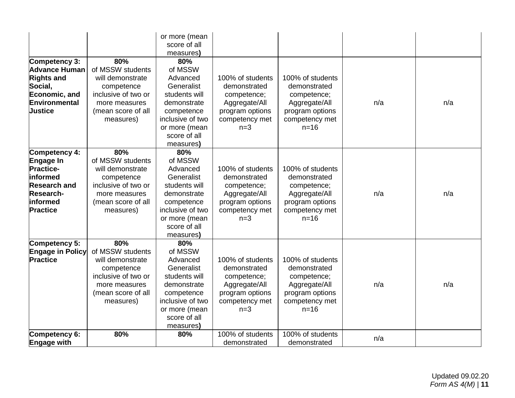|                                                                                                                                      |                                                                                                                                      | or more (mean<br>score of all<br>measures)                                                                                                               |                                                                                                                |                                                                                                                   |     |     |
|--------------------------------------------------------------------------------------------------------------------------------------|--------------------------------------------------------------------------------------------------------------------------------------|----------------------------------------------------------------------------------------------------------------------------------------------------------|----------------------------------------------------------------------------------------------------------------|-------------------------------------------------------------------------------------------------------------------|-----|-----|
| Competency 3:<br><b>Advance Human</b><br><b>Rights and</b><br>Social,<br>Economic, and<br>Environmental<br><b>Justice</b>            | 80%<br>of MSSW students<br>will demonstrate<br>competence<br>inclusive of two or<br>more measures<br>(mean score of all<br>measures) | 80%<br>of MSSW<br>Advanced<br>Generalist<br>students will<br>demonstrate<br>competence<br>inclusive of two<br>or more (mean<br>score of all<br>measures) | 100% of students<br>demonstrated<br>competence;<br>Aggregate/All<br>program options<br>competency met<br>$n=3$ | 100% of students<br>demonstrated<br>competence;<br>Aggregate/All<br>program options<br>competency met<br>$n=16$   | n/a | n/a |
| Competency 4:<br>Engage In<br><b>Practice-</b><br>informed<br><b>Research and</b><br><b>Research-</b><br>informed<br><b>Practice</b> | 80%<br>of MSSW students<br>will demonstrate<br>competence<br>inclusive of two or<br>more measures<br>(mean score of all<br>measures) | 80%<br>of MSSW<br>Advanced<br>Generalist<br>students will<br>demonstrate<br>competence<br>inclusive of two<br>or more (mean<br>score of all<br>measures) | 100% of students<br>demonstrated<br>competence;<br>Aggregate/All<br>program options<br>competency met<br>$n=3$ | 100% of students<br>demonstrated<br>competence;<br>Aggregate/All<br>program options<br>competency met<br>$n = 16$ | n/a | n/a |
| Competency 5:<br><b>Engage in Policy</b><br><b>Practice</b>                                                                          | 80%<br>of MSSW students<br>will demonstrate<br>competence<br>inclusive of two or<br>more measures<br>(mean score of all<br>measures) | 80%<br>of MSSW<br>Advanced<br>Generalist<br>students will<br>demonstrate<br>competence<br>inclusive of two<br>or more (mean<br>score of all<br>measures) | 100% of students<br>demonstrated<br>competence;<br>Aggregate/All<br>program options<br>competency met<br>$n=3$ | 100% of students<br>demonstrated<br>competence;<br>Aggregate/All<br>program options<br>competency met<br>$n=16$   | n/a | n/a |
| Competency 6:<br><b>Engage with</b>                                                                                                  | 80%                                                                                                                                  | 80%                                                                                                                                                      | 100% of students<br>demonstrated                                                                               | 100% of students<br>demonstrated                                                                                  | n/a |     |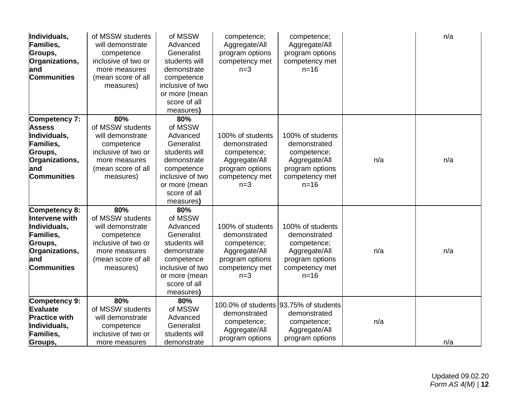| Individuals,<br><b>Families,</b><br>Groups,<br>Organizations,<br>and<br>Communities                                   | of MSSW students<br>will demonstrate<br>competence<br>inclusive of two or<br>more measures<br>(mean score of all<br>measures)        | of MSSW<br>Advanced<br>Generalist<br>students will<br>demonstrate<br>competence<br>inclusive of two<br>or more (mean<br>score of all<br>measures)        | competence;<br>Aggregate/All<br>program options<br>competency met<br>$n=3$                                     | competence;<br>Aggregate/All<br>program options<br>competency met<br>$n=16$                                     |     | n/a |
|-----------------------------------------------------------------------------------------------------------------------|--------------------------------------------------------------------------------------------------------------------------------------|----------------------------------------------------------------------------------------------------------------------------------------------------------|----------------------------------------------------------------------------------------------------------------|-----------------------------------------------------------------------------------------------------------------|-----|-----|
| Competency 7:<br><b>Assess</b><br>Individuals,<br><b>Families,</b><br>Groups,<br>Organizations,<br>and<br>Communities | 80%<br>of MSSW students<br>will demonstrate<br>competence<br>inclusive of two or<br>more measures<br>(mean score of all<br>measures) | 80%<br>of MSSW<br>Advanced<br>Generalist<br>students will<br>demonstrate<br>competence<br>inclusive of two<br>or more (mean<br>score of all<br>measures) | 100% of students<br>demonstrated<br>competence;<br>Aggregate/All<br>program options<br>competency met<br>$n=3$ | 100% of students<br>demonstrated<br>competence;<br>Aggregate/All<br>program options<br>competency met<br>$n=16$ | n/a | n/a |
| Competency 8:<br>Intervene with<br>Individuals,<br>Families,<br>Groups,<br>Organizations,<br>and<br>Communities       | 80%<br>of MSSW students<br>will demonstrate<br>competence<br>inclusive of two or<br>more measures<br>(mean score of all<br>measures) | 80%<br>of MSSW<br>Advanced<br>Generalist<br>students will<br>demonstrate<br>competence<br>inclusive of two<br>or more (mean<br>score of all<br>measures) | 100% of students<br>demonstrated<br>competence;<br>Aggregate/All<br>program options<br>competency met<br>$n=3$ | 100% of students<br>demonstrated<br>competence;<br>Aggregate/All<br>program options<br>competency met<br>$n=16$ | n/a | n/a |
| Competency 9:<br><b>Evaluate</b><br><b>Practice with</b><br>Individuals,<br>Families,<br>Groups,                      | 80%<br>of MSSW students<br>will demonstrate<br>competence<br>inclusive of two or<br>more measures                                    | 80%<br>of MSSW<br>Advanced<br>Generalist<br>students will<br>demonstrate                                                                                 | demonstrated<br>competence;<br>Aggregate/All<br>program options                                                | 100.0% of students 93.75% of students<br>demonstrated<br>competence;<br>Aggregate/All<br>program options        | n/a | n/a |